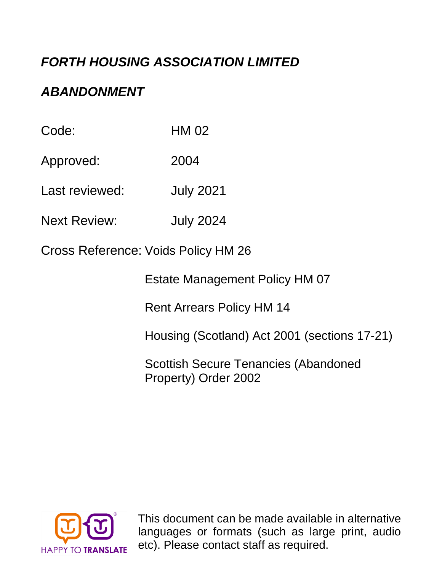# *FORTH HOUSING ASSOCIATION LIMITED*

# *ABANDONMENT*

Code: HM 02

Approved: 2004

Last reviewed: July 2021

Next Review: July 2024

Cross Reference: Voids Policy HM 26

Estate Management Policy HM 07

Rent Arrears Policy HM 14

Housing (Scotland) Act 2001 (sections 17-21)

Scottish Secure Tenancies (Abandoned Property) Order 2002



This document can be made available in alternative languages or formats (such as large print, audio etc). Please contact staff as required.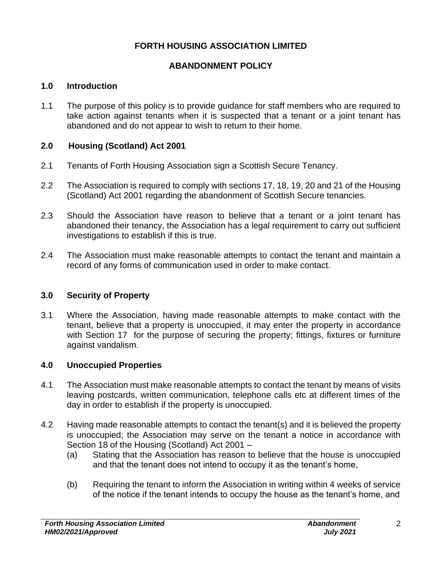# **FORTH HOUSING ASSOCIATION LIMITED**

# **ABANDONMENT POLICY**

### **1.0 Introduction**

1.1 The purpose of this policy is to provide guidance for staff members who are required to take action against tenants when it is suspected that a tenant or a joint tenant has abandoned and do not appear to wish to return to their home.

# **2.0 Housing (Scotland) Act 2001**

- 2.1 Tenants of Forth Housing Association sign a Scottish Secure Tenancy.
- 2.2 The Association is required to comply with sections 17, 18, 19, 20 and 21 of the Housing (Scotland) Act 2001 regarding the abandonment of Scottish Secure tenancies.
- 2.3 Should the Association have reason to believe that a tenant or a joint tenant has abandoned their tenancy, the Association has a legal requirement to carry out sufficient investigations to establish if this is true.
- 2.4 The Association must make reasonable attempts to contact the tenant and maintain a record of any forms of communication used in order to make contact.

# **3.0 Security of Property**

3.1 Where the Association, having made reasonable attempts to make contact with the tenant, believe that a property is unoccupied, it may enter the property in accordance with Section 17 for the purpose of securing the property; fittings, fixtures or furniture against vandalism.

# **4.0 Unoccupied Properties**

- 4.1 The Association must make reasonable attempts to contact the tenant by means of visits leaving postcards, written communication, telephone calls etc at different times of the day in order to establish if the property is unoccupied.
- 4.2 Having made reasonable attempts to contact the tenant(s) and it is believed the property is unoccupied; the Association may serve on the tenant a notice in accordance with Section 18 of the Housing (Scotland) Act 2001 –
	- (a) Stating that the Association has reason to believe that the house is unoccupied and that the tenant does not intend to occupy it as the tenant's home,
	- (b) Requiring the tenant to inform the Association in writing within 4 weeks of service of the notice if the tenant intends to occupy the house as the tenant's home, and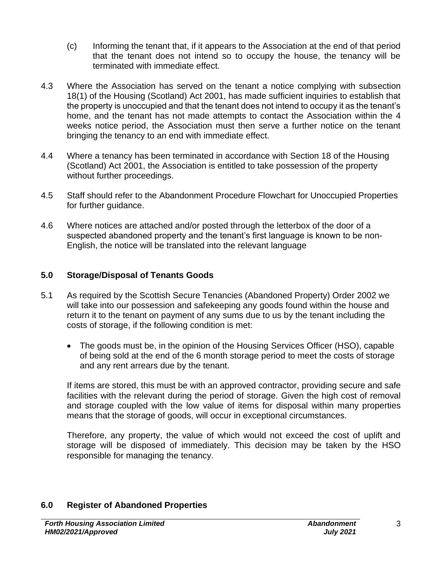- (c) Informing the tenant that, if it appears to the Association at the end of that period that the tenant does not intend so to occupy the house, the tenancy will be terminated with immediate effect.
- 4.3 Where the Association has served on the tenant a notice complying with subsection 18(1) of the Housing (Scotland) Act 2001, has made sufficient inquiries to establish that the property is unoccupied and that the tenant does not intend to occupy it as the tenant's home, and the tenant has not made attempts to contact the Association within the 4 weeks notice period, the Association must then serve a further notice on the tenant bringing the tenancy to an end with immediate effect.
- 4.4 Where a tenancy has been terminated in accordance with Section 18 of the Housing (Scotland) Act 2001, the Association is entitled to take possession of the property without further proceedings.
- 4.5 Staff should refer to the Abandonment Procedure Flowchart for Unoccupied Properties for further guidance.
- 4.6 Where notices are attached and/or posted through the letterbox of the door of a suspected abandoned property and the tenant's first language is known to be non-English, the notice will be translated into the relevant language

#### **5.0 Storage/Disposal of Tenants Goods**

- 5.1 As required by the Scottish Secure Tenancies (Abandoned Property) Order 2002 we will take into our possession and safekeeping any goods found within the house and return it to the tenant on payment of any sums due to us by the tenant including the costs of storage, if the following condition is met:
	- The goods must be, in the opinion of the Housing Services Officer (HSO), capable of being sold at the end of the 6 month storage period to meet the costs of storage and any rent arrears due by the tenant.

If items are stored, this must be with an approved contractor, providing secure and safe facilities with the relevant during the period of storage. Given the high cost of removal and storage coupled with the low value of items for disposal within many properties means that the storage of goods, will occur in exceptional circumstances.

Therefore, any property, the value of which would not exceed the cost of uplift and storage will be disposed of immediately. This decision may be taken by the HSO responsible for managing the tenancy.

# **6.0 Register of Abandoned Properties**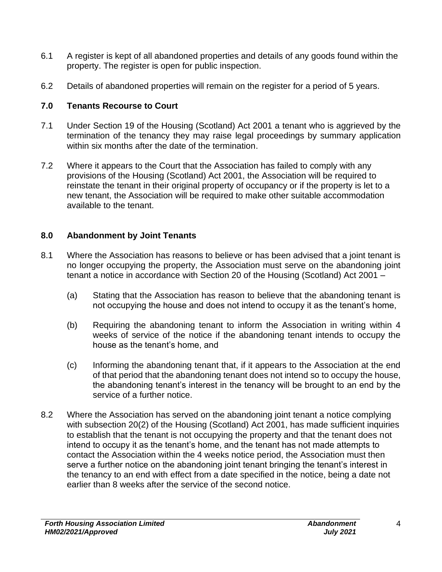- 6.1 A register is kept of all abandoned properties and details of any goods found within the property. The register is open for public inspection.
- 6.2 Details of abandoned properties will remain on the register for a period of 5 years.

# **7.0 Tenants Recourse to Court**

- 7.1 Under Section 19 of the Housing (Scotland) Act 2001 a tenant who is aggrieved by the termination of the tenancy they may raise legal proceedings by summary application within six months after the date of the termination.
- 7.2 Where it appears to the Court that the Association has failed to comply with any provisions of the Housing (Scotland) Act 2001, the Association will be required to reinstate the tenant in their original property of occupancy or if the property is let to a new tenant, the Association will be required to make other suitable accommodation available to the tenant.

# **8.0 Abandonment by Joint Tenants**

- 8.1 Where the Association has reasons to believe or has been advised that a joint tenant is no longer occupying the property, the Association must serve on the abandoning joint tenant a notice in accordance with Section 20 of the Housing (Scotland) Act 2001 –
	- (a) Stating that the Association has reason to believe that the abandoning tenant is not occupying the house and does not intend to occupy it as the tenant's home,
	- (b) Requiring the abandoning tenant to inform the Association in writing within 4 weeks of service of the notice if the abandoning tenant intends to occupy the house as the tenant's home, and
	- (c) Informing the abandoning tenant that, if it appears to the Association at the end of that period that the abandoning tenant does not intend so to occupy the house, the abandoning tenant's interest in the tenancy will be brought to an end by the service of a further notice.
- 8.2 Where the Association has served on the abandoning joint tenant a notice complying with subsection 20(2) of the Housing (Scotland) Act 2001, has made sufficient inquiries to establish that the tenant is not occupying the property and that the tenant does not intend to occupy it as the tenant's home, and the tenant has not made attempts to contact the Association within the 4 weeks notice period, the Association must then serve a further notice on the abandoning joint tenant bringing the tenant's interest in the tenancy to an end with effect from a date specified in the notice, being a date not earlier than 8 weeks after the service of the second notice.